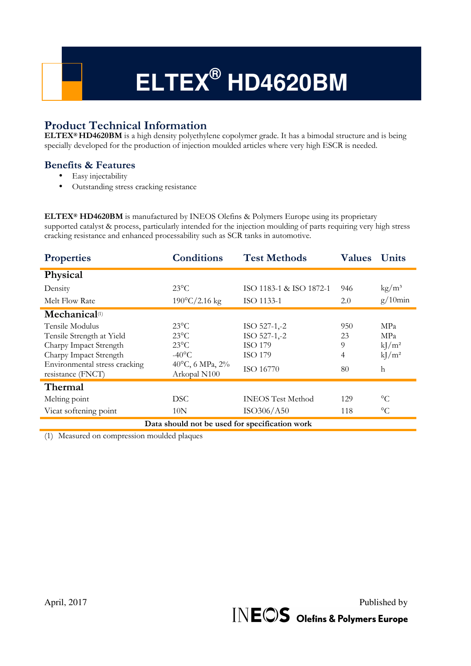# **ELTEX® HD4620BM**

# **Product Technical Information**

**ELTEX® HD4620BM** is a high density polyethylene copolymer grade. It has a bimodal structure and is being specially developed for the production of injection moulded articles where very high ESCR is needed.

# **Benefits & Features**

- Easy injectability
- Outstanding stress cracking resistance

**ELTEX® HD4620BM** is manufactured by INEOS Olefins & Polymers Europe using its proprietary supported catalyst & process, particularly intended for the injection moulding of parts requiring very high stress cracking resistance and enhanced processability such as SCR tanks in automotive.

| <b>Properties</b>                                                                                                                 | <b>Conditions</b>                                                                        | <b>Test Methods</b>                                | <b>Values</b>       | <b>Units</b>                              |
|-----------------------------------------------------------------------------------------------------------------------------------|------------------------------------------------------------------------------------------|----------------------------------------------------|---------------------|-------------------------------------------|
| Physical                                                                                                                          |                                                                                          |                                                    |                     |                                           |
| Density                                                                                                                           | $23^{\circ}$ C                                                                           | ISO 1183-1 & ISO 1872-1                            | 946                 | $\text{kg}/\text{m}^3$                    |
| Melt Flow Rate                                                                                                                    | $190^{\circ}$ C/2.16 kg                                                                  | ISO 1133-1                                         | 2.0                 | $g/10$ min                                |
| Mechanical <sup>(1)</sup>                                                                                                         |                                                                                          |                                                    |                     |                                           |
| Tensile Modulus<br>Tensile Strength at Yield<br>Charpy Impact Strength<br>Charpy Impact Strength<br>Environmental stress cracking | $23^{\circ}$ C<br>$23^{\circ}$ C<br>$23^{\circ}$ C<br>$-40^{\circ}$ C<br>40°C, 6 MPa, 2% | ISO 527-1,-2<br>ISO 527-1,-2<br>ISO 179<br>ISO 179 | 950<br>23<br>9<br>4 | <b>MPa</b><br>MPa<br>$kJ/m^2$<br>$kJ/m^2$ |
| resistance (FNCT)                                                                                                                 | Arkopal N100                                                                             | ISO 16770                                          | 80                  | $\mathbf{h}$                              |
| Thermal                                                                                                                           |                                                                                          |                                                    |                     |                                           |
| Melting point                                                                                                                     | DSC.                                                                                     | <b>INEOS</b> Test Method                           | 129                 | $\circ$ C                                 |
| Vicat softening point                                                                                                             | 10N                                                                                      | ISO306/A50                                         | 118                 | $\rm ^{\circ}C$                           |
| Data should not be used for specification work                                                                                    |                                                                                          |                                                    |                     |                                           |

(1) Measured on compression moulded plaques